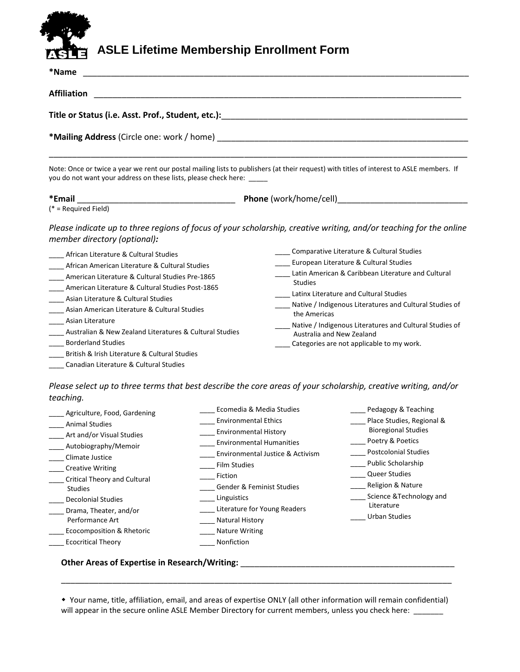## **ASLE Lifetime Membership Enrollment Form**

| *Name                                                                                                                                                                                                                                                                                                                                                                                                                                                                                        |                                                                                                                                                                                                                                                                                                                                                                                                                       |  |  |  |  |                                |  |
|----------------------------------------------------------------------------------------------------------------------------------------------------------------------------------------------------------------------------------------------------------------------------------------------------------------------------------------------------------------------------------------------------------------------------------------------------------------------------------------------|-----------------------------------------------------------------------------------------------------------------------------------------------------------------------------------------------------------------------------------------------------------------------------------------------------------------------------------------------------------------------------------------------------------------------|--|--|--|--|--------------------------------|--|
| <b>Affiliation</b>                                                                                                                                                                                                                                                                                                                                                                                                                                                                           |                                                                                                                                                                                                                                                                                                                                                                                                                       |  |  |  |  |                                |  |
| Title or Status (i.e. Asst. Prof., Student, etc.):                                                                                                                                                                                                                                                                                                                                                                                                                                           |                                                                                                                                                                                                                                                                                                                                                                                                                       |  |  |  |  |                                |  |
| <b>*Mailing Address</b> (Circle one: work / home) <b>Notain the set of the set of the set of the set of the set of the set of the set of the set of the set of the set of the set of the set of the set of the set of the set of the </b><br>Note: Once or twice a year we rent our postal mailing lists to publishers (at their request) with titles of interest to ASLE members. If<br>you do not want your address on these lists, please check here: _____                               |                                                                                                                                                                                                                                                                                                                                                                                                                       |  |  |  |  |                                |  |
|                                                                                                                                                                                                                                                                                                                                                                                                                                                                                              |                                                                                                                                                                                                                                                                                                                                                                                                                       |  |  |  |  | *Email<br>(* = Required Field) |  |
| member directory (optional):                                                                                                                                                                                                                                                                                                                                                                                                                                                                 | Please indicate up to three regions of focus of your scholarship, creative writing, and/or teaching for the online                                                                                                                                                                                                                                                                                                    |  |  |  |  |                                |  |
| African Literature & Cultural Studies<br>African American Literature & Cultural Studies<br>American Literature & Cultural Studies Pre-1865<br>American Literature & Cultural Studies Post-1865<br>Asian Literature & Cultural Studies<br>Asian American Literature & Cultural Studies<br>Asian Literature<br>Australian & New Zealand Literatures & Cultural Studies<br><b>Borderland Studies</b><br>British & Irish Literature & Cultural Studies<br>Canadian Literature & Cultural Studies | Comparative Literature & Cultural Studies<br>European Literature & Cultural Studies<br>Latin American & Caribbean Literature and Cultural<br><b>Studies</b><br>Latinx Literature and Cultural Studies<br>Native / Indigenous Literatures and Cultural Studies of<br>the Americas<br>Native / Indigenous Literatures and Cultural Studies of<br>Australia and New Zealand<br>Categories are not applicable to my work. |  |  |  |  |                                |  |
| teaching.                                                                                                                                                                                                                                                                                                                                                                                                                                                                                    | Please select up to three terms that best describe the core areas of your scholarship, creative writing, and/or                                                                                                                                                                                                                                                                                                       |  |  |  |  |                                |  |

| Agriculture, Food, Gardening | Ecomedia & Media Studies         | Pedagogy & Teaching         |
|------------------------------|----------------------------------|-----------------------------|
| <b>Animal Studies</b>        | <b>Environmental Ethics</b>      | Place Studies, Regional &   |
| Art and/or Visual Studies    | <b>Environmental History</b>     | <b>Bioregional Studies</b>  |
| Autobiography/Memoir         | <b>Environmental Humanities</b>  | Poetry & Poetics            |
| Climate Justice              | Environmental Justice & Activism | <b>Postcolonial Studies</b> |
| <b>Creative Writing</b>      | <b>Film Studies</b>              | Public Scholarship          |
| Critical Theory and Cultural | Fiction                          | <b>Queer Studies</b>        |
| <b>Studies</b>               | Gender & Feminist Studies        | Religion & Nature           |
| <b>Decolonial Studies</b>    | Linguistics                      | Science & Technology and    |
| Drama, Theater, and/or       | Literature for Young Readers     | Literature                  |
| Performance Art              | <b>Natural History</b>           | <b>Urban Studies</b>        |
| Ecocomposition & Rhetoric    | <b>Nature Writing</b>            |                             |
| <b>Ecocritical Theory</b>    | Nonfiction                       |                             |

## **Other Areas of Expertise in Research/Writing:** \_\_\_\_\_\_\_\_\_\_\_\_\_\_\_\_\_\_\_\_\_\_\_\_\_\_\_\_\_\_\_\_\_\_\_\_\_\_\_\_\_\_\_\_\_\_

 Your name, title, affiliation, email, and areas of expertise ONLY (all other information will remain confidential) will appear in the secure online ASLE Member Directory for current members, unless you check here: \_\_\_\_\_\_\_

\_\_\_\_\_\_\_\_\_\_\_\_\_\_\_\_\_\_\_\_\_\_\_\_\_\_\_\_\_\_\_\_\_\_\_\_\_\_\_\_\_\_\_\_\_\_\_\_\_\_\_\_\_\_\_\_\_\_\_\_\_\_\_\_\_\_\_\_\_\_\_\_\_\_\_\_\_\_\_\_\_\_\_\_